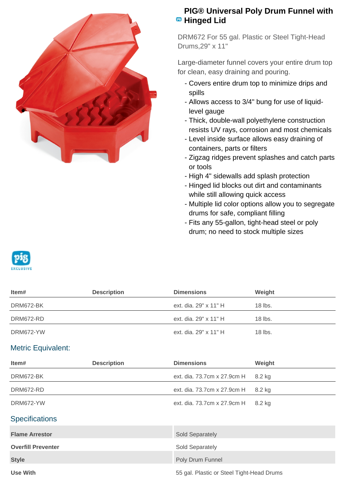

## **PIG® Universal Poly Drum Funnel with Hinged Lid**

DRM672 For 55 gal. Plastic or Steel Tight-Head Drums,29" x 11"

Large-diameter funnel covers your entire drum top for clean, easy draining and pouring.

- Covers entire drum top to minimize drips and spills
- Allows access to 3/4" bung for use of liquid- level gauge
- Thick, double-wall polyethylene construction resists UV rays, corrosion and most chemicals
- Level inside surface allows easy draining of containers, parts or filters
- Zigzag ridges prevent splashes and catch parts or tools
- High 4" sidewalls add splash protection
- Hinged lid blocks out dirt and contaminants while still allowing quick access
- Multiple lid color options allow you to segregate drums for safe, compliant filling
- Fits any 55-gallon, tight-head steel or poly drum; no need to stock multiple sizes



| Item#     | <b>Description</b> | <b>Dimensions</b>     | Weight    |
|-----------|--------------------|-----------------------|-----------|
| DRM672-BK |                    | ext. dia. 29" x 11" H | $18$ lbs. |
| DRM672-RD |                    | ext. dia. 29" x 11" H | $18$ lbs. |
| DRM672-YW |                    | ext. dia. 29" x 11" H | $18$ lbs. |
|           |                    |                       |           |

## Metric Equivalent:

| Item#                     | <b>Description</b> | <b>Dimensions</b>                         | Weight |
|---------------------------|--------------------|-------------------------------------------|--------|
| DRM672-BK                 |                    | ext. dia. 73.7cm x 27.9cm H               | 8.2 kg |
| DRM672-RD                 |                    | ext. dia. 73.7cm x 27.9cm H               | 8.2 kg |
| DRM672-YW                 |                    | ext. dia. 73.7cm x 27.9cm H               | 8.2 kg |
| <b>Specifications</b>     |                    |                                           |        |
| <b>Flame Arrestor</b>     |                    | Sold Separately                           |        |
| <b>Overfill Preventer</b> |                    | Sold Separately                           |        |
| <b>Style</b>              |                    | Poly Drum Funnel                          |        |
| <b>Use With</b>           |                    | 55 gal. Plastic or Steel Tight-Head Drums |        |